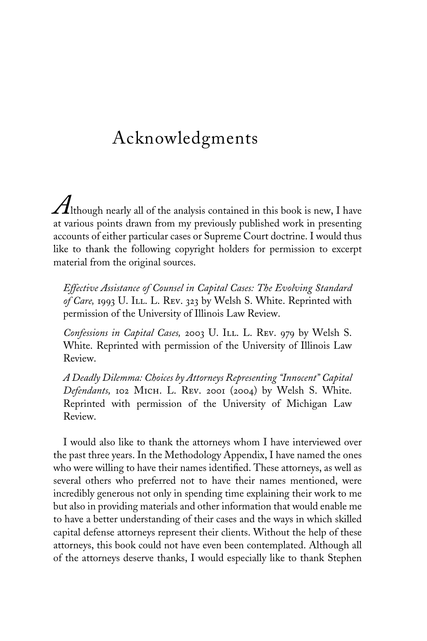## Acknowledgments

 $A$ lthough nearly all of the analysis contained in this book is new, I have at various points drawn from my previously published work in presenting accounts of either particular cases or Supreme Court doctrine. I would thus like to thank the following copyright holders for permission to excerpt material from the original sources.

*Effective Assistance of Counsel in Capital Cases: The Evolving Standard* of Care, 1993 U. I<sub>LL</sub>. L. Rev. 323 by Welsh S. White. Reprinted with permission of the University of Illinois Law Review.

*Confessions in Capital Cases,* 2003 U. Ill. L. Rev. 979 by Welsh S. White. Reprinted with permission of the University of Illinois Law Review.

*A Deadly Dilemma: Choices by Attorneys Representing "Innocent" Capital Defendants,* 102 Mich. L. Rev. 2001 (2004) by Welsh S. White. Reprinted with permission of the University of Michigan Law Review.

I would also like to thank the attorneys whom I have interviewed over the past three years. In the Methodology Appendix, I have named the ones who were willing to have their names identified. These attorneys, as well as several others who preferred not to have their names mentioned, were incredibly generous not only in spending time explaining their work to me but also in providing materials and other information that would enable me to have a better understanding of their cases and the ways in which skilled capital defense attorneys represent their clients. Without the help of these attorneys, this book could not have even been contemplated. Although all of the attorneys deserve thanks, I would especially like to thank Stephen